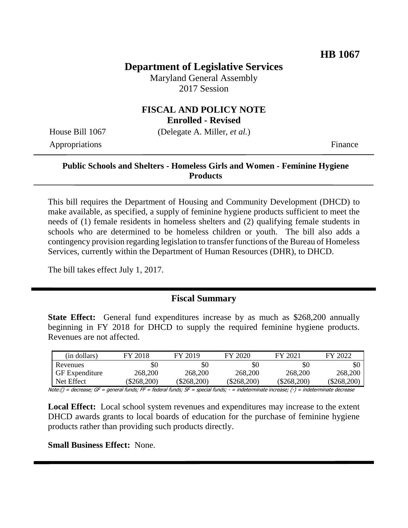# **Department of Legislative Services**

Maryland General Assembly 2017 Session

#### **FISCAL AND POLICY NOTE Enrolled - Revised**

House Bill 1067 (Delegate A. Miller, *et al.*)

Appropriations Finance

## **Public Schools and Shelters - Homeless Girls and Women - Feminine Hygiene Products**

This bill requires the Department of Housing and Community Development (DHCD) to make available, as specified, a supply of feminine hygiene products sufficient to meet the needs of (1) female residents in homeless shelters and (2) qualifying female students in schools who are determined to be homeless children or youth. The bill also adds a contingency provision regarding legislation to transfer functions of the Bureau of Homeless Services, currently within the Department of Human Resources (DHR), to DHCD.

The bill takes effect July 1, 2017.

### **Fiscal Summary**

**State Effect:** General fund expenditures increase by as much as \$268,200 annually beginning in FY 2018 for DHCD to supply the required feminine hygiene products. Revenues are not affected.

| (in dollars)          | FY 2018       | FY 2019       | FY 2020       | FY 2021       | FY 2022     |
|-----------------------|---------------|---------------|---------------|---------------|-------------|
| Revenues              | \$0           | \$0           | \$0           | \$0           |             |
| <b>GF</b> Expenditure | 268,200       | 268,200       | 268,200       | 268,200       | 268,200     |
| Net Effect            | $(\$268,200)$ | $(\$268,200)$ | $(\$268,200)$ | $(\$268,200)$ | (\$268.200) |

Note:() = decrease; GF = general funds; FF = federal funds; SF = special funds; - = indeterminate increase; (-) = indeterminate decrease

**Local Effect:** Local school system revenues and expenditures may increase to the extent DHCD awards grants to local boards of education for the purchase of feminine hygiene products rather than providing such products directly.

**Small Business Effect:** None.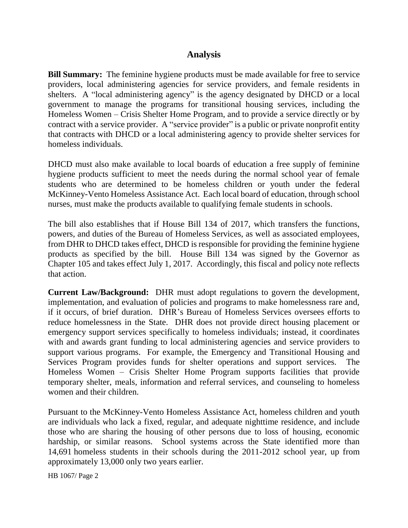## **Analysis**

**Bill Summary:** The feminine hygiene products must be made available for free to service providers, local administering agencies for service providers, and female residents in shelters. A "local administering agency" is the agency designated by DHCD or a local government to manage the programs for transitional housing services, including the Homeless Women – Crisis Shelter Home Program, and to provide a service directly or by contract with a service provider. A "service provider" is a public or private nonprofit entity that contracts with DHCD or a local administering agency to provide shelter services for homeless individuals.

DHCD must also make available to local boards of education a free supply of feminine hygiene products sufficient to meet the needs during the normal school year of female students who are determined to be homeless children or youth under the federal McKinney-Vento Homeless Assistance Act. Each local board of education, through school nurses, must make the products available to qualifying female students in schools.

The bill also establishes that if House Bill 134 of 2017, which transfers the functions, powers, and duties of the Bureau of Homeless Services, as well as associated employees, from DHR to DHCD takes effect, DHCD is responsible for providing the feminine hygiene products as specified by the bill. House Bill 134 was signed by the Governor as Chapter 105 and takes effect July 1, 2017. Accordingly, this fiscal and policy note reflects that action.

**Current Law/Background:** DHR must adopt regulations to govern the development, implementation, and evaluation of policies and programs to make homelessness rare and, if it occurs, of brief duration. DHR's Bureau of Homeless Services oversees efforts to reduce homelessness in the State. DHR does not provide direct housing placement or emergency support services specifically to homeless individuals; instead, it coordinates with and awards grant funding to local administering agencies and service providers to support various programs. For example, the Emergency and Transitional Housing and Services Program provides funds for shelter operations and support services. The Homeless Women – Crisis Shelter Home Program supports facilities that provide temporary shelter, meals, information and referral services, and counseling to homeless women and their children.

Pursuant to the McKinney-Vento Homeless Assistance Act, homeless children and youth are individuals who lack a fixed, regular, and adequate nighttime residence, and include those who are sharing the housing of other persons due to loss of housing, economic hardship, or similar reasons. School systems across the State identified more than 14,691 homeless students in their schools during the 2011-2012 school year, up from approximately 13,000 only two years earlier.

HB 1067/ Page 2